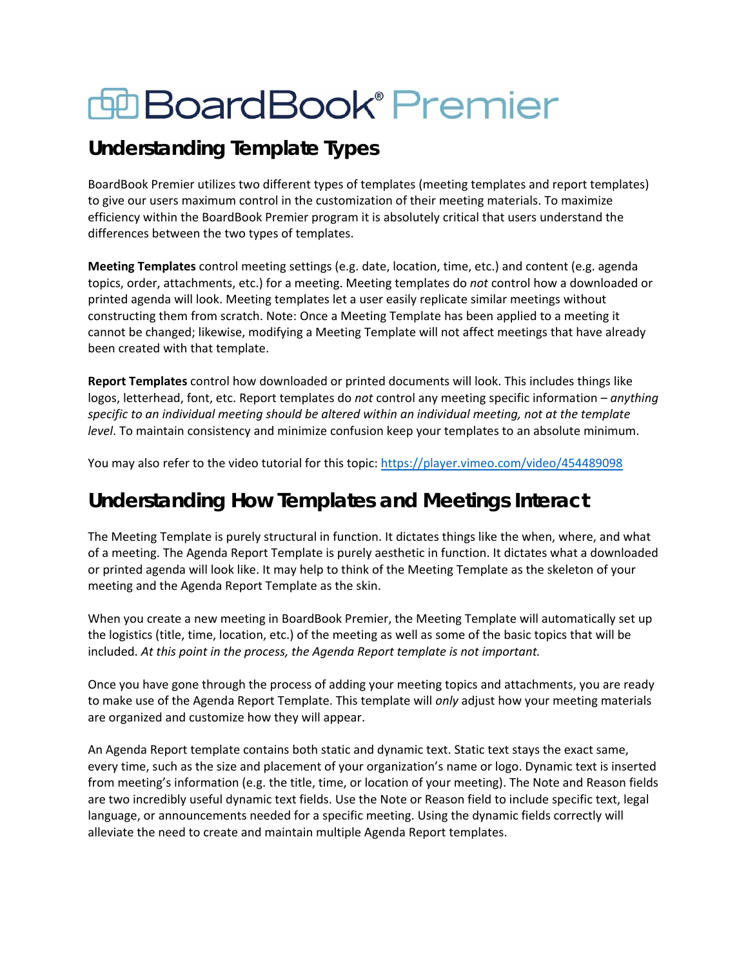# **EDBoardBook® Premier**

# **Understanding Template Types**

BoardBook Premier utilizes two different types of templates (meeting templates and report templates) to give our users maximum control in the customization of their meeting materials. To maximize efficiency within the BoardBook Premier program it is absolutely critical that users understand the differences between the two types of templates.

**Meeting Templates** control meeting settings (e.g. date, location, time, etc.) and content (e.g. agenda topics, order, attachments, etc.) for a meeting. Meeting templates do *not* control how a downloaded or printed agenda will look. Meeting templates let a user easily replicate similar meetings without constructing them from scratch. Note: Once a Meeting Template has been applied to a meeting it cannot be changed; likewise, modifying a Meeting Template will not affect meetings that have already been created with that template.

**Report Templates** control how downloaded or printed documents will look. This includes things like logos, letterhead, font, etc. Report templates do *not* control any meeting specific information – *anything specific to an individual meeting should be altered within an individual meeting, not at the template level*. To maintain consistency and minimize confusion keep your templates to an absolute minimum.

You may also refer to the video tutorial for this topic:<https://player.vimeo.com/video/454489098>

## **Understanding How Templates and Meetings Interact**

The Meeting Template is purely structural in function. It dictates things like the when, where, and what of a meeting. The Agenda Report Template is purely aesthetic in function. It dictates what a downloaded or printed agenda will look like. It may help to think of the Meeting Template as the skeleton of your meeting and the Agenda Report Template as the skin.

When you create a new meeting in BoardBook Premier, the Meeting Template will automatically set up the logistics (title, time, location, etc.) of the meeting as well as some of the basic topics that will be included. *At this point in the process, the Agenda Report template is not important.*

Once you have gone through the process of adding your meeting topics and attachments, you are ready to make use of the Agenda Report Template. This template will *only* adjust how your meeting materials are organized and customize how they will appear.

An Agenda Report template contains both static and dynamic text. Static text stays the exact same, every time, such as the size and placement of your organization's name or logo. Dynamic text is inserted from meeting's information (e.g. the title, time, or location of your meeting). The Note and Reason fields are two incredibly useful dynamic text fields. Use the Note or Reason field to include specific text, legal language, or announcements needed for a specific meeting. Using the dynamic fields correctly will alleviate the need to create and maintain multiple Agenda Report templates.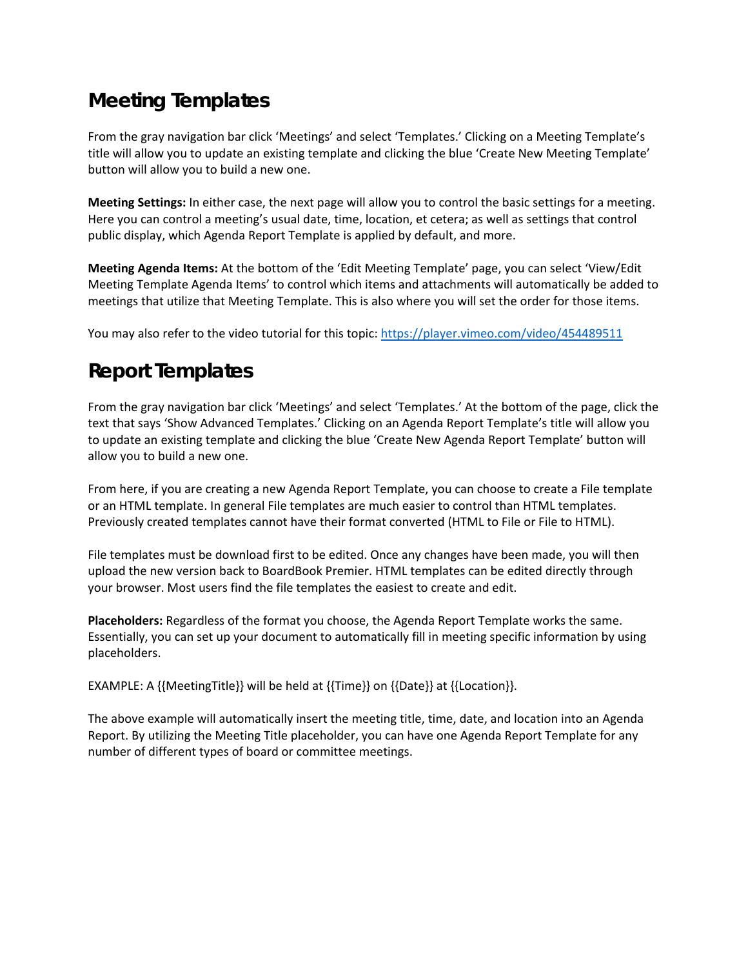# **Meeting Templates**

From the gray navigation bar click 'Meetings' and select 'Templates.' Clicking on a Meeting Template's title will allow you to update an existing template and clicking the blue 'Create New Meeting Template' button will allow you to build a new one.

**Meeting Settings:** In either case, the next page will allow you to control the basic settings for a meeting. Here you can control a meeting's usual date, time, location, et cetera; as well as settings that control public display, which Agenda Report Template is applied by default, and more.

**Meeting Agenda Items:** At the bottom of the 'Edit Meeting Template' page, you can select 'View/Edit Meeting Template Agenda Items' to control which items and attachments will automatically be added to meetings that utilize that Meeting Template. This is also where you will set the order for those items.

You may also refer to the video tutorial for this topic:<https://player.vimeo.com/video/454489511>

# **Report Templates**

From the gray navigation bar click 'Meetings' and select 'Templates.' At the bottom of the page, click the text that says 'Show Advanced Templates.' Clicking on an Agenda Report Template's title will allow you to update an existing template and clicking the blue 'Create New Agenda Report Template' button will allow you to build a new one.

From here, if you are creating a new Agenda Report Template, you can choose to create a File template or an HTML template. In general File templates are much easier to control than HTML templates. Previously created templates cannot have their format converted (HTML to File or File to HTML).

File templates must be download first to be edited. Once any changes have been made, you will then upload the new version back to BoardBook Premier. HTML templates can be edited directly through your browser. Most users find the file templates the easiest to create and edit.

**Placeholders:** Regardless of the format you choose, the Agenda Report Template works the same. Essentially, you can set up your document to automatically fill in meeting specific information by using placeholders.

EXAMPLE: A {{MeetingTitle}} will be held at {{Time}} on {{Date}} at {{Location}}.

The above example will automatically insert the meeting title, time, date, and location into an Agenda Report. By utilizing the Meeting Title placeholder, you can have one Agenda Report Template for any number of different types of board or committee meetings.